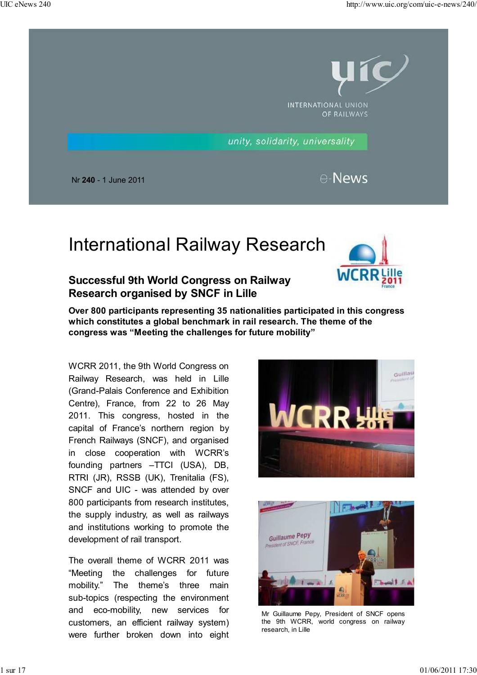

# International Railway Research

### **Successful 9th World Congress on Railway Research organised by SNCF in Lille**



**Over 800 participants representing 35 nationalities participated in this congress which constitutes a global benchmark in rail research. The theme of the congress was "Meeting the challenges for future mobility"**

WCRR 2011, the 9th World Congress on Railway Research, was held in Lille (Grand-Palais Conference and Exhibition Centre), France, from 22 to 26 May 2011. This congress, hosted in the capital of France's northern region by French Railways (SNCF), and organised in close cooperation with WCRR's founding partners –TTCI (USA), DB, RTRI (JR), RSSB (UK), Trenitalia (FS), SNCF and UIC - was attended by over 800 participants from research institutes, the supply industry, as well as railways and institutions working to promote the development of rail transport.

The overall theme of WCRR 2011 was "Meeting the challenges for future mobility." The theme's three main sub-topics (respecting the environment and eco-mobility, new services for customers, an efficient railway system) were further broken down into eight





Mr Guillaume Pepy, President of SNCF opens the 9th WCRR, world congress on railway research, in Lille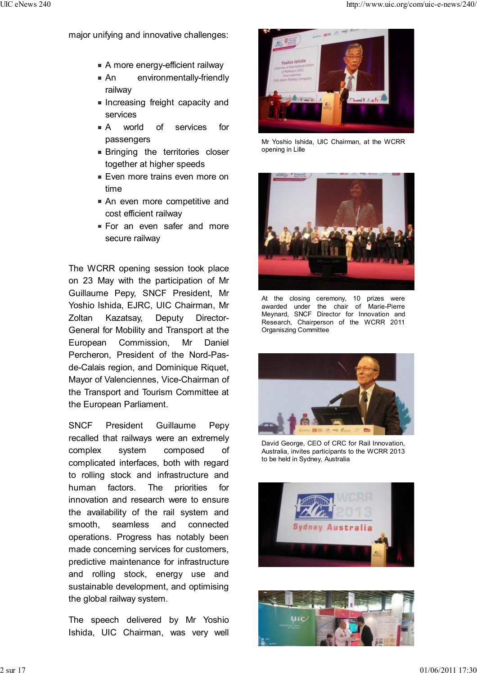major unifying and innovative challenges:

- A more energy-efficient railway
- An environmentally-friendly railway
- **Increasing freight capacity and** services
- A world of services for passengers
- **Bringing the territories closer** together at higher speeds
- **Even more trains even more on** time
- **An even more competitive and** cost efficient railway
- **For an even safer and more** secure railway

The WCRR opening session took place on 23 May with the participation of Mr Guillaume Pepy, SNCF President, Mr Yoshio Ishida, EJRC, UIC Chairman, Mr Zoltan Kazatsay, Deputy Director-General for Mobility and Transport at the European Commission, Mr Daniel Percheron, President of the Nord-Pasde-Calais region, and Dominique Riquet, Mayor of Valenciennes, Vice-Chairman of the Transport and Tourism Committee at the European Parliament.

SNCF President Guillaume Pepy recalled that railways were an extremely complex system composed of complicated interfaces, both with regard to rolling stock and infrastructure and human factors. The priorities for innovation and research were to ensure the availability of the rail system and smooth, seamless and connected operations. Progress has notably been made concerning services for customers, predictive maintenance for infrastructure and rolling stock, energy use and sustainable development, and optimising the global railway system.

The speech delivered by Mr Yoshio Ishida, UIC Chairman, was very well



Mr Yoshio Ishida, UIC Chairman, at the WCRR opening in Lille



At the closing ceremony, 10 prizes were awarded under the chair of Marie-Pierre Meynard, SNCF Director for Innovation and Research, Chairperson of the WCRR 2011 Organiszing Committee



David George, CEO of CRC for Rail Innovation, Australia, invites participants to the WCRR 2013 to be held in Sydney, Australia



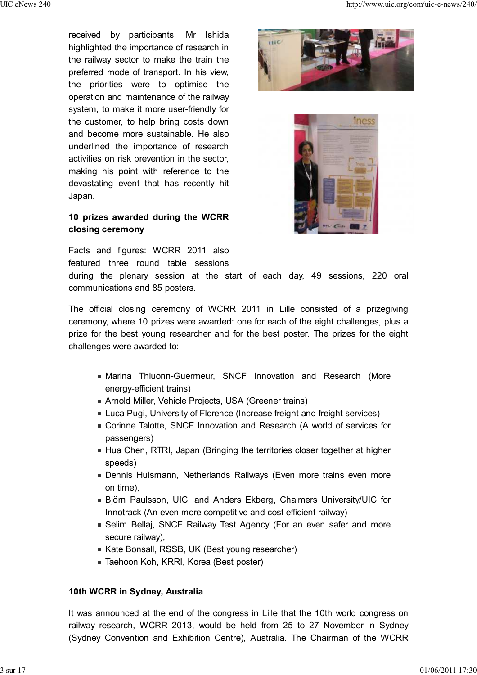received by participants. Mr Ishida highlighted the importance of research in the railway sector to make the train the preferred mode of transport. In his view, the priorities were to optimise the operation and maintenance of the railway system, to make it more user-friendly for the customer, to help bring costs down and become more sustainable. He also underlined the importance of research activities on risk prevention in the sector, making his point with reference to the devastating event that has recently hit Japan.

### **10 prizes awarded during the WCRR closing ceremony**

Facts and figures: WCRR 2011 also featured three round table sessions

during the plenary session at the start of each day, 49 sessions, 220 oral communications and 85 posters.

The official closing ceremony of WCRR 2011 in Lille consisted of a prizegiving ceremony, where 10 prizes were awarded: one for each of the eight challenges, plus a prize for the best young researcher and for the best poster. The prizes for the eight challenges were awarded to:

- Marina Thiuonn-Guermeur, SNCF Innovation and Research (More energy-efficient trains)
- Arnold Miller, Vehicle Projects, USA (Greener trains)
- **Luca Pugi, University of Florence (Increase freight and freight services)**
- Corinne Talotte, SNCF Innovation and Research (A world of services for passengers)
- **Hua Chen, RTRI, Japan (Bringing the territories closer together at higher** speeds)
- Dennis Huismann, Netherlands Railways (Even more trains even more on time),
- Björn Paulsson, UIC, and Anders Ekberg, Chalmers University/UIC for Innotrack (An even more competitive and cost efficient railway)
- Selim Bellaj, SNCF Railway Test Agency (For an even safer and more secure railway),
- Kate Bonsall, RSSB, UK (Best young researcher)
- Taehoon Koh, KRRI, Korea (Best poster)

### **10th WCRR in Sydney, Australia**

It was announced at the end of the congress in Lille that the 10th world congress on railway research, WCRR 2013, would be held from 25 to 27 November in Sydney (Sydney Convention and Exhibition Centre), Australia. The Chairman of the WCRR



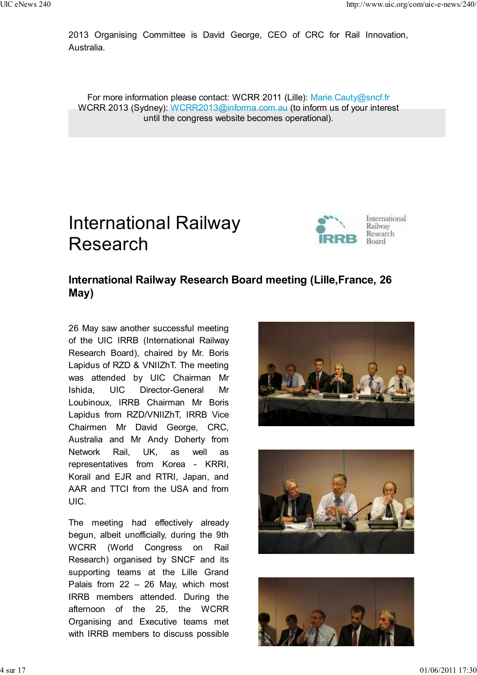2013 Organising Committee is David George, CEO of CRC for Rail Innovation, Australia.

For more information please contact: WCRR 2011 (Lille): Marie.Cauty@sncf.fr WCRR 2013 (Sydney): WCRR2013@informa.com.au (to inform us of your interest until the congress website becomes operational).

## International Railway Research



## **International Railway Research Board meeting (Lille,France, 26 May)**

26 May saw another successful meeting of the UIC IRRB (International Railway Research Board), chaired by Mr. Boris Lapidus of RZD & VNIIZhT. The meeting was attended by UIC Chairman Mr Ishida, UIC Director-General Mr Loubinoux, IRRB Chairman Mr Boris Lapidus from RZD/VNIIZhT, IRRB Vice Chairmen Mr David George, CRC, Australia and Mr Andy Doherty from Network Rail, UK, as well as representatives from Korea - KRRI, Korail and EJR and RTRI, Japan, and AAR and TTCI from the USA and from UIC.

The meeting had effectively already begun, albeit unofficially, during the 9th WCRR (World Congress on Rail Research) organised by SNCF and its supporting teams at the Lille Grand Palais from 22 – 26 May, which most IRRB members attended. During the afternoon of the 25, the WCRR Organising and Executive teams met with IRRB members to discuss possible





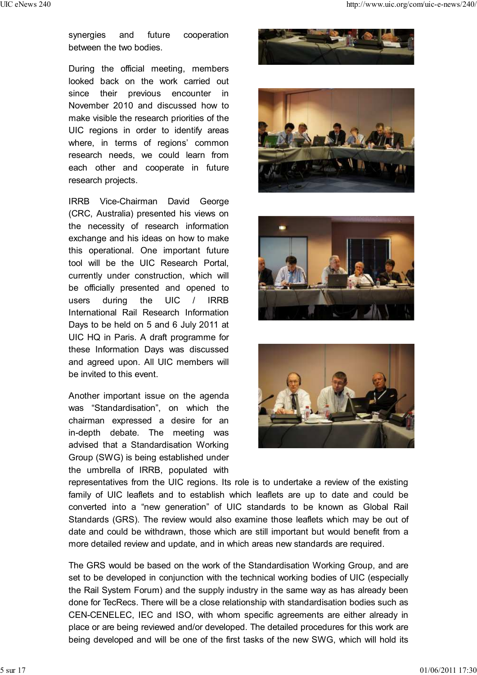synergies and future cooperation between the two bodies.

During the official meeting, members looked back on the work carried out since their previous encounter in November 2010 and discussed how to make visible the research priorities of the UIC regions in order to identify areas where, in terms of regions' common research needs, we could learn from each other and cooperate in future research projects.

IRRB Vice-Chairman David George (CRC, Australia) presented his views on the necessity of research information exchange and his ideas on how to make this operational. One important future tool will be the UIC Research Portal, currently under construction, which will be officially presented and opened to users during the UIC / IRRB International Rail Research Information Days to be held on 5 and 6 July 2011 at UIC HQ in Paris. A draft programme for these Information Days was discussed and agreed upon. All UIC members will be invited to this event.

Another important issue on the agenda was "Standardisation", on which the chairman expressed a desire for an in-depth debate. The meeting was advised that a Standardisation Working Group (SWG) is being established under the umbrella of IRRB, populated with









representatives from the UIC regions. Its role is to undertake a review of the existing family of UIC leaflets and to establish which leaflets are up to date and could be converted into a "new generation" of UIC standards to be known as Global Rail Standards (GRS). The review would also examine those leaflets which may be out of date and could be withdrawn, those which are still important but would benefit from a more detailed review and update, and in which areas new standards are required.

The GRS would be based on the work of the Standardisation Working Group, and are set to be developed in conjunction with the technical working bodies of UIC (especially the Rail System Forum) and the supply industry in the same way as has already been done for TecRecs. There will be a close relationship with standardisation bodies such as CEN-CENELEC, IEC and ISO, with whom specific agreements are either already in place or are being reviewed and/or developed. The detailed procedures for this work are being developed and will be one of the first tasks of the new SWG, which will hold its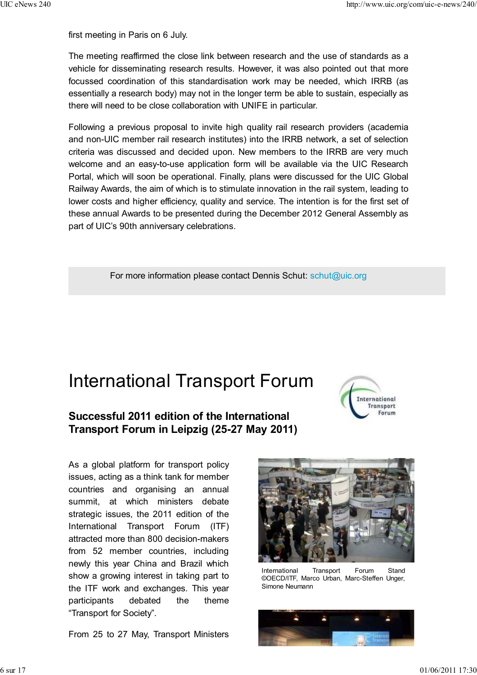first meeting in Paris on 6 July.

The meeting reaffirmed the close link between research and the use of standards as a vehicle for disseminating research results. However, it was also pointed out that more focussed coordination of this standardisation work may be needed, which IRRB (as essentially a research body) may not in the longer term be able to sustain, especially as there will need to be close collaboration with UNIFE in particular.

Following a previous proposal to invite high quality rail research providers (academia and non-UIC member rail research institutes) into the IRRB network, a set of selection criteria was discussed and decided upon. New members to the IRRB are very much welcome and an easy-to-use application form will be available via the UIC Research Portal, which will soon be operational. Finally, plans were discussed for the UIC Global Railway Awards, the aim of which is to stimulate innovation in the rail system, leading to lower costs and higher efficiency, quality and service. The intention is for the first set of these annual Awards to be presented during the December 2012 General Assembly as part of UIC's 90th anniversary celebrations.

For more information please contact Dennis Schut: schut@uic.org

## International Transport Forum

### **Successful 2011 edition of the International Transport Forum in Leipzig (25-27 May 2011)**

As a global platform for transport policy issues, acting as a think tank for member countries and organising an annual summit, at which ministers debate strategic issues, the 2011 edition of the International Transport Forum (ITF) attracted more than 800 decision-makers from 52 member countries, including newly this year China and Brazil which show a growing interest in taking part to the ITF work and exchanges. This year participants debated the theme "Transport for Society".

From 25 to 27 May, Transport Ministers





International Transport Forum Stand ©OECD/ITF, Marco Urban, Marc-Steffen Unger, Simone Neumann

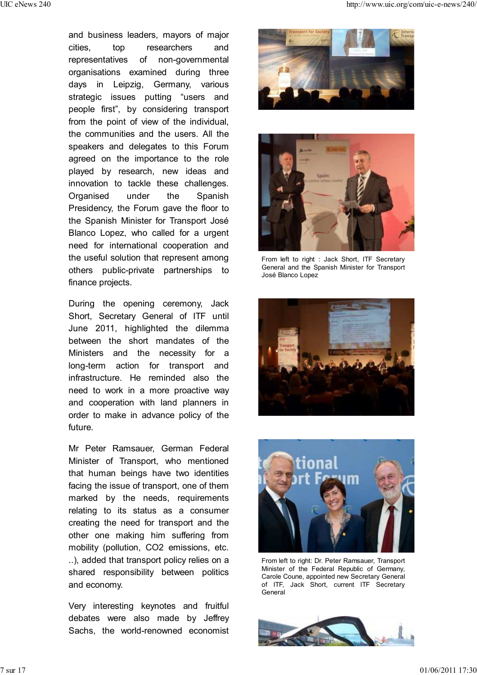and business leaders, mayors of major cities, top researchers and representatives of non-governmental organisations examined during three days in Leipzig, Germany, various strategic issues putting "users and people first", by considering transport from the point of view of the individual, the communities and the users. All the speakers and delegates to this Forum agreed on the importance to the role played by research, new ideas and innovation to tackle these challenges. Organised under the Spanish Presidency, the Forum gave the floor to the Spanish Minister for Transport José Blanco Lopez, who called for a urgent need for international cooperation and the useful solution that represent among others public-private partnerships to finance projects.

During the opening ceremony, Jack Short, Secretary General of ITF until June 2011, highlighted the dilemma between the short mandates of the Ministers and the necessity for a long-term action for transport and infrastructure. He reminded also the need to work in a more proactive way and cooperation with land planners in order to make in advance policy of the future.

Mr Peter Ramsauer, German Federal Minister of Transport, who mentioned that human beings have two identities facing the issue of transport, one of them marked by the needs, requirements relating to its status as a consumer creating the need for transport and the other one making him suffering from mobility (pollution, CO2 emissions, etc. ..), added that transport policy relies on a shared responsibility between politics and economy.

Very interesting keynotes and fruitful debates were also made by Jeffrey Sachs, the world-renowned economist





From left to right : Jack Short, ITF Secretary General and the Spanish Minister for Transport José Blanco Lopez





From left to right: Dr. Peter Ramsauer, Transport Minister of the Federal Republic of Germany, Carole Coune, appointed new Secretary General of ITF, Jack Short, current ITF Secretary **General** 

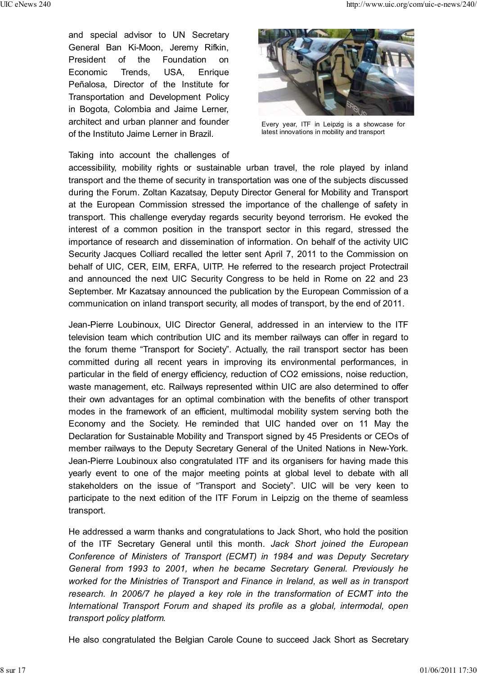and special advisor to UN Secretary General Ban Ki-Moon, Jeremy Rifkin, President of the Foundation on Economic Trends, USA, Enrique Peñalosa, Director of the Institute for Transportation and Development Policy in Bogota, Colombia and Jaime Lerner, architect and urban planner and founder of the Instituto Jaime Lerner in Brazil.

Taking into account the challenges of



Every year, ITF in Leipzig is a showcase for latest innovations in mobility and transport

accessibility, mobility rights or sustainable urban travel, the role played by inland transport and the theme of security in transportation was one of the subjects discussed during the Forum. Zoltan Kazatsay, Deputy Director General for Mobility and Transport at the European Commission stressed the importance of the challenge of safety in transport. This challenge everyday regards security beyond terrorism. He evoked the interest of a common position in the transport sector in this regard, stressed the importance of research and dissemination of information. On behalf of the activity UIC Security Jacques Colliard recalled the letter sent April 7, 2011 to the Commission on behalf of UIC, CER, EIM, ERFA, UITP. He referred to the research project Protectrail and announced the next UIC Security Congress to be held in Rome on 22 and 23 September. Mr Kazatsay announced the publication by the European Commission of a communication on inland transport security, all modes of transport, by the end of 2011.

Jean-Pierre Loubinoux, UIC Director General, addressed in an interview to the ITF television team which contribution UIC and its member railways can offer in regard to the forum theme "Transport for Society". Actually, the rail transport sector has been committed during all recent years in improving its environmental performances, in particular in the field of energy efficiency, reduction of CO2 emissions, noise reduction, waste management, etc. Railways represented within UIC are also determined to offer their own advantages for an optimal combination with the benefits of other transport modes in the framework of an efficient, multimodal mobility system serving both the Economy and the Society. He reminded that UIC handed over on 11 May the Declaration for Sustainable Mobility and Transport signed by 45 Presidents or CEOs of member railways to the Deputy Secretary General of the United Nations in New-York. Jean-Pierre Loubinoux also congratulated ITF and its organisers for having made this yearly event to one of the major meeting points at global level to debate with all stakeholders on the issue of "Transport and Society". UIC will be very keen to participate to the next edition of the ITF Forum in Leipzig on the theme of seamless transport.

He addressed a warm thanks and congratulations to Jack Short, who hold the position of the ITF Secretary General until this month. *Jack Short joined the European Conference of Ministers of Transport (ECMT) in 1984 and was Deputy Secretary General from 1993 to 2001, when he became Secretary General. Previously he worked for the Ministries of Transport and Finance in Ireland, as well as in transport research. In 2006/7 he played a key role in the transformation of ECMT into the International Transport Forum and shaped its profile as a global, intermodal, open transport policy platform.*

He also congratulated the Belgian Carole Coune to succeed Jack Short as Secretary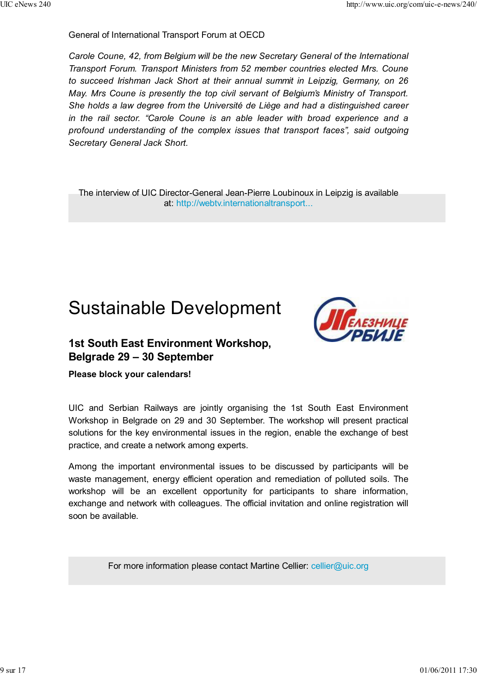#### General of International Transport Forum at OECD

*Carole Coune, 42, from Belgium will be the new Secretary General of the International Transport Forum. Transport Ministers from 52 member countries elected Mrs. Coune to succeed Irishman Jack Short at their annual summit in Leipzig, Germany, on 26 May. Mrs Coune is presently the top civil servant of Belgium's Ministry of Transport. She holds a law degree from the Université de Liège and had a distinguished career in the rail sector. "Carole Coune is an able leader with broad experience and a profound understanding of the complex issues that transport faces", said outgoing Secretary General Jack Short.*

The interview of UIC Director-General Jean-Pierre Loubinoux in Leipzig is available at: http://webtv.internationaltransport...

## Sustainable Development



### **1st South East Environment Workshop, Belgrade 29 – 30 September**

#### **Please block your calendars!**

UIC and Serbian Railways are jointly organising the 1st South East Environment Workshop in Belgrade on 29 and 30 September. The workshop will present practical solutions for the key environmental issues in the region, enable the exchange of best practice, and create a network among experts.

Among the important environmental issues to be discussed by participants will be waste management, energy efficient operation and remediation of polluted soils. The workshop will be an excellent opportunity for participants to share information, exchange and network with colleagues. The official invitation and online registration will soon be available.

For more information please contact Martine Cellier: cellier@uic.org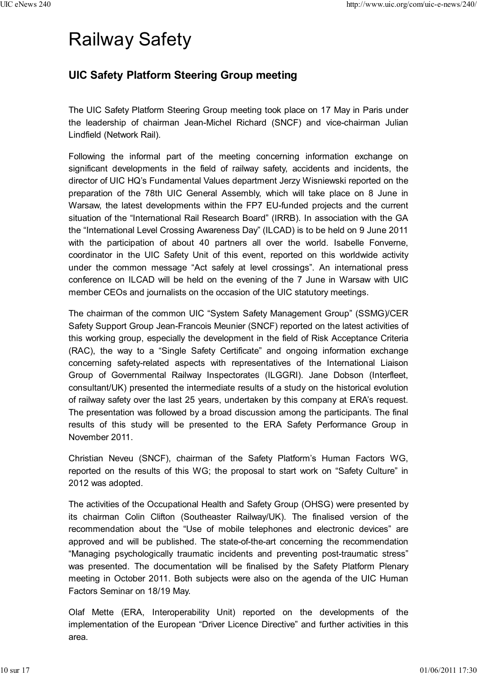# Railway Safety

### **UIC Safety Platform Steering Group meeting**

The UIC Safety Platform Steering Group meeting took place on 17 May in Paris under the leadership of chairman Jean-Michel Richard (SNCF) and vice-chairman Julian Lindfield (Network Rail).

Following the informal part of the meeting concerning information exchange on significant developments in the field of railway safety, accidents and incidents, the director of UIC HQ's Fundamental Values department Jerzy Wisniewski reported on the preparation of the 78th UIC General Assembly, which will take place on 8 June in Warsaw, the latest developments within the FP7 EU-funded projects and the current situation of the "International Rail Research Board" (IRRB). In association with the GA the "International Level Crossing Awareness Day" (ILCAD) is to be held on 9 June 2011 with the participation of about 40 partners all over the world. Isabelle Fonverne, coordinator in the UIC Safety Unit of this event, reported on this worldwide activity under the common message "Act safely at level crossings". An international press conference on ILCAD will be held on the evening of the 7 June in Warsaw with UIC member CEOs and journalists on the occasion of the UIC statutory meetings.

The chairman of the common UIC "System Safety Management Group" (SSMG)/CER Safety Support Group Jean-Francois Meunier (SNCF) reported on the latest activities of this working group, especially the development in the field of Risk Acceptance Criteria (RAC), the way to a "Single Safety Certificate" and ongoing information exchange concerning safety-related aspects with representatives of the International Liaison Group of Governmental Railway Inspectorates (ILGGRI). Jane Dobson (Interfleet, consultant/UK) presented the intermediate results of a study on the historical evolution of railway safety over the last 25 years, undertaken by this company at ERA's request. The presentation was followed by a broad discussion among the participants. The final results of this study will be presented to the ERA Safety Performance Group in November 2011.

Christian Neveu (SNCF), chairman of the Safety Platform's Human Factors WG, reported on the results of this WG; the proposal to start work on "Safety Culture" in 2012 was adopted.

The activities of the Occupational Health and Safety Group (OHSG) were presented by its chairman Colin Clifton (Southeaster Railway/UK). The finalised version of the recommendation about the "Use of mobile telephones and electronic devices" are approved and will be published. The state-of-the-art concerning the recommendation "Managing psychologically traumatic incidents and preventing post-traumatic stress" was presented. The documentation will be finalised by the Safety Platform Plenary meeting in October 2011. Both subjects were also on the agenda of the UIC Human Factors Seminar on 18/19 May.

Olaf Mette (ERA, Interoperability Unit) reported on the developments of the implementation of the European "Driver Licence Directive" and further activities in this area.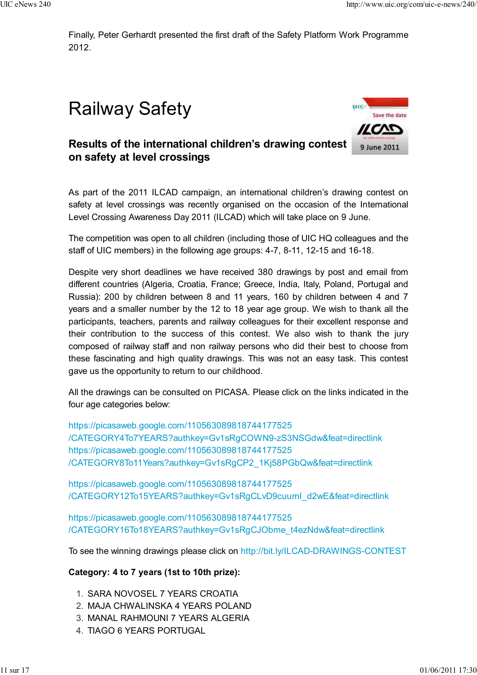Finally, Peter Gerhardt presented the first draft of the Safety Platform Work Programme 2012.

# Railway Safety



### **Results of the international children's drawing contest on safety at level crossings**

As part of the 2011 ILCAD campaign, an international children's drawing contest on safety at level crossings was recently organised on the occasion of the International Level Crossing Awareness Day 2011 (ILCAD) which will take place on 9 June.

The competition was open to all children (including those of UIC HQ colleagues and the staff of UIC members) in the following age groups: 4-7, 8-11, 12-15 and 16-18.

Despite very short deadlines we have received 380 drawings by post and email from different countries (Algeria, Croatia, France; Greece, India, Italy, Poland, Portugal and Russia): 200 by children between 8 and 11 years, 160 by children between 4 and 7 years and a smaller number by the 12 to 18 year age group. We wish to thank all the participants, teachers, parents and railway colleagues for their excellent response and their contribution to the success of this contest. We also wish to thank the jury composed of railway staff and non railway persons who did their best to choose from these fascinating and high quality drawings. This was not an easy task. This contest gave us the opportunity to return to our childhood.

All the drawings can be consulted on PICASA. Please click on the links indicated in the four age categories below:

https://picasaweb.google.com/110563089818744177525 /CATEGORY4To7YEARS?authkey=Gv1sRgCOWN9-zS3NSGdw&feat=directlink https://picasaweb.google.com/110563089818744177525 /CATEGORY8To11Years?authkey=Gv1sRgCP2\_1Kj58PGbQw&feat=directlink

https://picasaweb.google.com/110563089818744177525 /CATEGORY12To15YEARS?authkey=Gv1sRgCLvD9cuumI\_d2wE&feat=directlink

https://picasaweb.google.com/110563089818744177525 /CATEGORY16To18YEARS?authkey=Gv1sRgCJObme\_t4ezNdw&feat=directlink

To see the winning drawings please click on http://bit.ly/ILCAD-DRAWINGS-CONTEST

### **Category: 4 to 7 years (1st to 10th prize):**

- 1. SARA NOVOSEL 7 YEARS CROATIA
- 2. MAJA CHWALINSKA 4 YEARS POLAND
- 3. MANAL RAHMOUNI 7 YEARS ALGERIA
- 4. TIAGO 6 YEARS PORTUGAL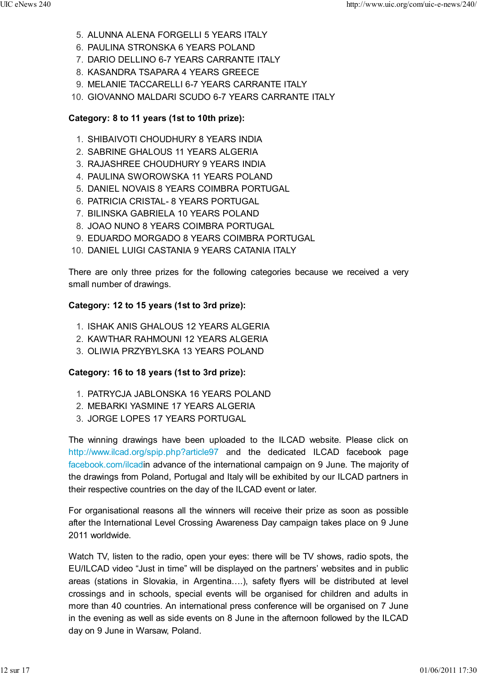- 5. ALUNNA ALENA FORGELLI 5 YEARS ITALY
- 6. PAULINA STRONSKA 6 YEARS POLAND
- 7. DARIO DELLINO 6-7 YEARS CARRANTE ITALY
- 8. KASANDRA TSAPARA 4 YEARS GREECE
- 9. MELANIE TACCARELLI 6-7 YEARS CARRANTE ITALY
- 10. GIOVANNO MALDARI SCUDO 6-7 YEARS CARRANTE ITALY

#### **Category: 8 to 11 years (1st to 10th prize):**

- 1. SHIBAIVOTI CHOUDHURY 8 YEARS INDIA
- 2. SABRINE GHALOUS 11 YEARS ALGERIA
- 3. RAJASHREE CHOUDHURY 9 YEARS INDIA
- 4. PAULINA SWOROWSKA 11 YEARS POLAND
- 5. DANIEL NOVAIS 8 YEARS COIMBRA PORTUGAL
- 6. PATRICIA CRISTAL- 8 YEARS PORTUGAL
- 7. BILINSKA GABRIELA 10 YEARS POLAND
- 8. JOAO NUNO 8 YEARS COIMBRA PORTUGAL
- 9. EDUARDO MORGADO 8 YEARS COIMBRA PORTUGAL
- 10. DANIEL LUIGI CASTANIA 9 YEARS CATANIA ITALY

There are only three prizes for the following categories because we received a very small number of drawings.

#### **Category: 12 to 15 years (1st to 3rd prize):**

- 1. ISHAK ANIS GHALOUS 12 YEARS ALGERIA
- 2. KAWTHAR RAHMOUNI 12 YEARS ALGERIA
- 3. OLIWIA PRZYBYLSKA 13 YEARS POLAND

#### **Category: 16 to 18 years (1st to 3rd prize):**

- 1. PATRYCJA JABLONSKA 16 YEARS POLAND
- 2. MEBARKI YASMINE 17 YEARS ALGERIA
- 3. JORGE LOPES 17 YEARS PORTUGAL

The winning drawings have been uploaded to the ILCAD website. Please click on http://www.ilcad.org/spip.php?article97 and the dedicated ILCAD facebook page facebook.com/ilcadin advance of the international campaign on 9 June. The majority of the drawings from Poland, Portugal and Italy will be exhibited by our ILCAD partners in their respective countries on the day of the ILCAD event or later.

For organisational reasons all the winners will receive their prize as soon as possible after the International Level Crossing Awareness Day campaign takes place on 9 June 2011 worldwide.

Watch TV, listen to the radio, open your eyes: there will be TV shows, radio spots, the EU/ILCAD video "Just in time" will be displayed on the partners' websites and in public areas (stations in Slovakia, in Argentina….), safety flyers will be distributed at level crossings and in schools, special events will be organised for children and adults in more than 40 countries. An international press conference will be organised on 7 June in the evening as well as side events on 8 June in the afternoon followed by the ILCAD day on 9 June in Warsaw, Poland.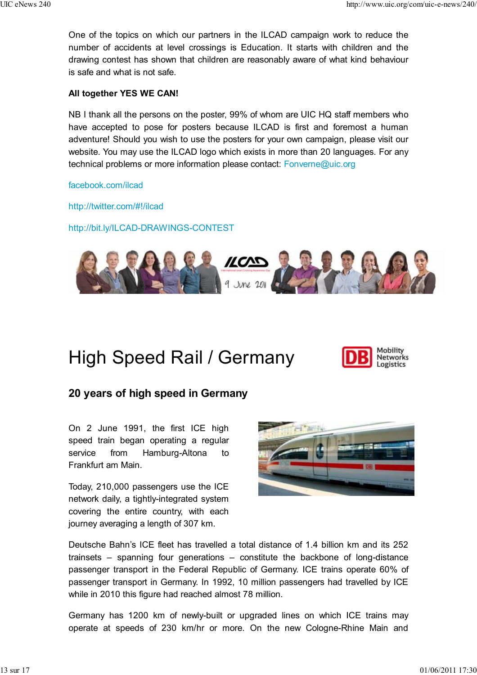One of the topics on which our partners in the ILCAD campaign work to reduce the number of accidents at level crossings is Education. It starts with children and the drawing contest has shown that children are reasonably aware of what kind behaviour is safe and what is not safe.

#### **All together YES WE CAN!**

NB I thank all the persons on the poster, 99% of whom are UIC HQ staff members who have accepted to pose for posters because ILCAD is first and foremost a human adventure! Should you wish to use the posters for your own campaign, please visit our website. You may use the ILCAD logo which exists in more than 20 languages. For any technical problems or more information please contact: Fonverne@uic.org

facebook.com/ilcad

http://twitter.com/#!/ilcad

http://bit.ly/ILCAD-DRAWINGS-CONTEST



# High Speed Rail / Germany



### **20 years of high speed in Germany**

On 2 June 1991, the first ICE high speed train began operating a regular service from Hamburg-Altona to Frankfurt am Main.

Today, 210,000 passengers use the ICE network daily, a tightly-integrated system covering the entire country, with each journey averaging a length of 307 km.



Deutsche Bahn's ICE fleet has travelled a total distance of 1.4 billion km and its 252 trainsets – spanning four generations – constitute the backbone of long-distance passenger transport in the Federal Republic of Germany. ICE trains operate 60% of passenger transport in Germany. In 1992, 10 million passengers had travelled by ICE while in 2010 this figure had reached almost 78 million.

Germany has 1200 km of newly-built or upgraded lines on which ICE trains may operate at speeds of 230 km/hr or more. On the new Cologne-Rhine Main and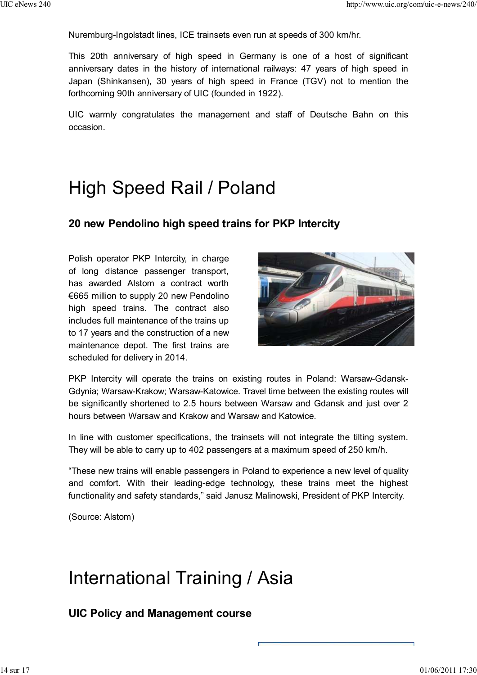Nuremburg-Ingolstadt lines, ICE trainsets even run at speeds of 300 km/hr.

This 20th anniversary of high speed in Germany is one of a host of significant anniversary dates in the history of international railways: 47 years of high speed in Japan (Shinkansen), 30 years of high speed in France (TGV) not to mention the forthcoming 90th anniversary of UIC (founded in 1922).

UIC warmly congratulates the management and staff of Deutsche Bahn on this occasion.

## High Speed Rail / Poland

### **20 new Pendolino high speed trains for PKP Intercity**

Polish operator PKP Intercity, in charge of long distance passenger transport, has awarded Alstom a contract worth €665 million to supply 20 new Pendolino high speed trains. The contract also includes full maintenance of the trains up to 17 years and the construction of a new maintenance depot. The first trains are scheduled for delivery in 2014.



PKP Intercity will operate the trains on existing routes in Poland: Warsaw-Gdansk-Gdynia; Warsaw-Krakow; Warsaw-Katowice. Travel time between the existing routes will be significantly shortened to 2.5 hours between Warsaw and Gdansk and just over 2 hours between Warsaw and Krakow and Warsaw and Katowice.

In line with customer specifications, the trainsets will not integrate the tilting system. They will be able to carry up to 402 passengers at a maximum speed of 250 km/h.

"These new trains will enable passengers in Poland to experience a new level of quality and comfort. With their leading-edge technology, these trains meet the highest functionality and safety standards," said Janusz Malinowski, President of PKP Intercity.

(Source: Alstom)

## International Training / Asia

**UIC Policy and Management course**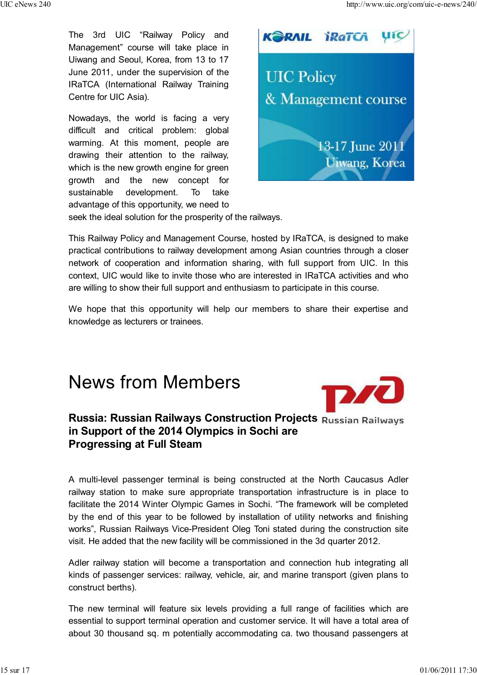The 3rd UIC "Railway Policy and Management" course will take place in Uiwang and Seoul, Korea, from 13 to 17 June 2011, under the supervision of the IRaTCA (International Railway Training Centre for UIC Asia).

Nowadays, the world is facing a very difficult and critical problem: global warming. At this moment, people are drawing their attention to the railway, which is the new growth engine for green growth and the new concept for sustainable development. To take advantage of this opportunity, we need to



seek the ideal solution for the prosperity of the railways.

This Railway Policy and Management Course, hosted by IRaTCA, is designed to make practical contributions to railway development among Asian countries through a closer network of cooperation and information sharing, with full support from UIC. In this context, UIC would like to invite those who are interested in IRaTCA activities and who are willing to show their full support and enthusiasm to participate in this course.

We hope that this opportunity will help our members to share their expertise and knowledge as lecturers or trainees.

## News from Members



### **Russia: Russian Railways Construction Projects in Support of the 2014 Olympics in Sochi are Progressing at Full Steam**

A multi-level passenger terminal is being constructed at the North Caucasus Adler railway station to make sure appropriate transportation infrastructure is in place to facilitate the 2014 Winter Olympic Games in Sochi. "The framework will be completed by the end of this year to be followed by installation of utility networks and finishing works", Russian Railways Vice-President Oleg Toni stated during the construction site visit. He added that the new facility will be commissioned in the 3d quarter 2012.

Adler railway station will become a transportation and connection hub integrating all kinds of passenger services: railway, vehicle, air, and marine transport (given plans to construct berths).

The new terminal will feature six levels providing a full range of facilities which are essential to support terminal operation and customer service. It will have a total area of about 30 thousand sq. m potentially accommodating ca. two thousand passengers at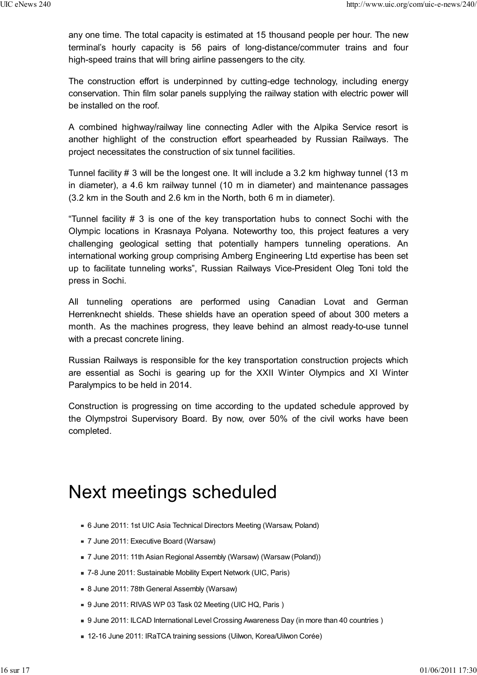any one time. The total capacity is estimated at 15 thousand people per hour. The new terminal's hourly capacity is 56 pairs of long-distance/commuter trains and four high-speed trains that will bring airline passengers to the city.

The construction effort is underpinned by cutting-edge technology, including energy conservation. Thin film solar panels supplying the railway station with electric power will be installed on the roof.

A combined highway/railway line connecting Adler with the Alpika Service resort is another highlight of the construction effort spearheaded by Russian Railways. The project necessitates the construction of six tunnel facilities.

Tunnel facility # 3 will be the longest one. It will include a 3.2 km highway tunnel (13 m in diameter), a 4.6 km railway tunnel (10 m in diameter) and maintenance passages (3.2 km in the South and 2.6 km in the North, both 6 m in diameter).

"Tunnel facility # 3 is one of the key transportation hubs to connect Sochi with the Olympic locations in Krasnaya Polyana. Noteworthy too, this project features a very challenging geological setting that potentially hampers tunneling operations. An international working group comprising Amberg Engineering Ltd expertise has been set up to facilitate tunneling works", Russian Railways Vice-President Oleg Toni told the press in Sochi.

All tunneling operations are performed using Canadian Lovat and German Herrenknecht shields. These shields have an operation speed of about 300 meters a month. As the machines progress, they leave behind an almost ready-to-use tunnel with a precast concrete lining.

Russian Railways is responsible for the key transportation construction projects which are essential as Sochi is gearing up for the XXII Winter Olympics and XI Winter Paralympics to be held in 2014.

Construction is progressing on time according to the updated schedule approved by the Olympstroi Supervisory Board. By now, over 50% of the civil works have been completed.

## Next meetings scheduled

- 6 June 2011: 1st UIC Asia Technical Directors Meeting (Warsaw, Poland)
- 7 June 2011: Executive Board (Warsaw)
- 7 June 2011: 11th Asian Regional Assembly (Warsaw) (Warsaw (Poland))
- 7-8 June 2011: Sustainable Mobility Expert Network (UIC, Paris)
- 8 June 2011: 78th General Assembly (Warsaw)
- 9 June 2011: RIVAS WP 03 Task 02 Meeting (UIC HQ, Paris )
- 9 June 2011: ILCAD International Level Crossing Awareness Day (in more than 40 countries )
- 12-16 June 2011: IRaTCA training sessions (Uilwon, Korea/Uilwon Corée)